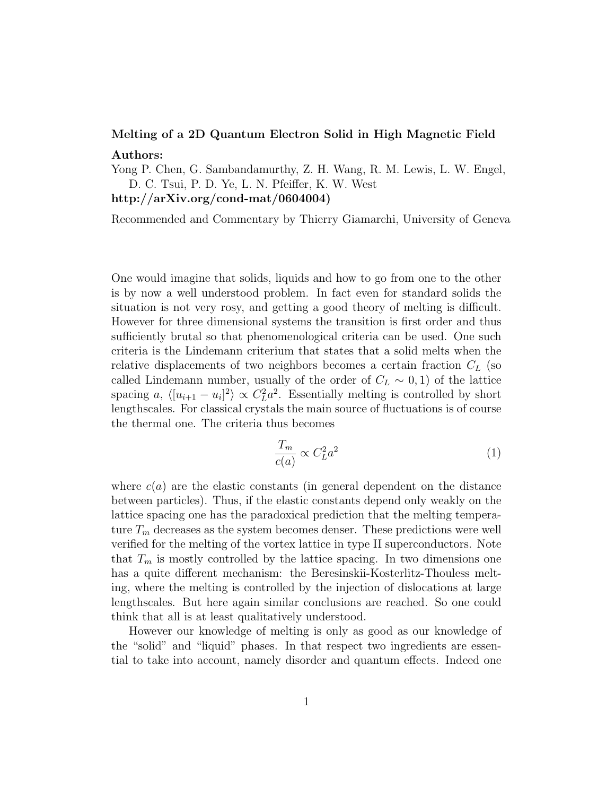## Melting of a 2D Quantum Electron Solid in High Magnetic Field Authors:

Yong P. Chen, G. Sambandamurthy, Z. H. Wang, R. M. Lewis, L. W. Engel, D. C. Tsui, P. D. Ye, L. N. Pfeiffer, K. W. West

http://arXiv.org/cond-mat/0604004)

Recommended and Commentary by Thierry Giamarchi, University of Geneva

One would imagine that solids, liquids and how to go from one to the other is by now a well understood problem. In fact even for standard solids the situation is not very rosy, and getting a good theory of melting is difficult. However for three dimensional systems the transition is first order and thus sufficiently brutal so that phenomenological criteria can be used. One such criteria is the Lindemann criterium that states that a solid melts when the relative displacements of two neighbors becomes a certain fraction  $C_L$  (so called Lindemann number, usually of the order of  $C_L \sim 0, 1$  of the lattice spacing a,  $\langle [u_{i+1} - u_i]^2 \rangle \propto C_L^2 a^2$ . Essentially melting is controlled by short lengthscales. For classical crystals the main source of fluctuations is of course the thermal one. The criteria thus becomes

$$
\frac{T_m}{c(a)} \propto C_L^2 a^2 \tag{1}
$$

where  $c(a)$  are the elastic constants (in general dependent on the distance between particles). Thus, if the elastic constants depend only weakly on the lattice spacing one has the paradoxical prediction that the melting temperature  $T_m$  decreases as the system becomes denser. These predictions were well verified for the melting of the vortex lattice in type II superconductors. Note that  $T_m$  is mostly controlled by the lattice spacing. In two dimensions one has a quite different mechanism: the Beresinskii-Kosterlitz-Thouless melting, where the melting is controlled by the injection of dislocations at large lengthscales. But here again similar conclusions are reached. So one could think that all is at least qualitatively understood.

However our knowledge of melting is only as good as our knowledge of the "solid" and "liquid" phases. In that respect two ingredients are essential to take into account, namely disorder and quantum effects. Indeed one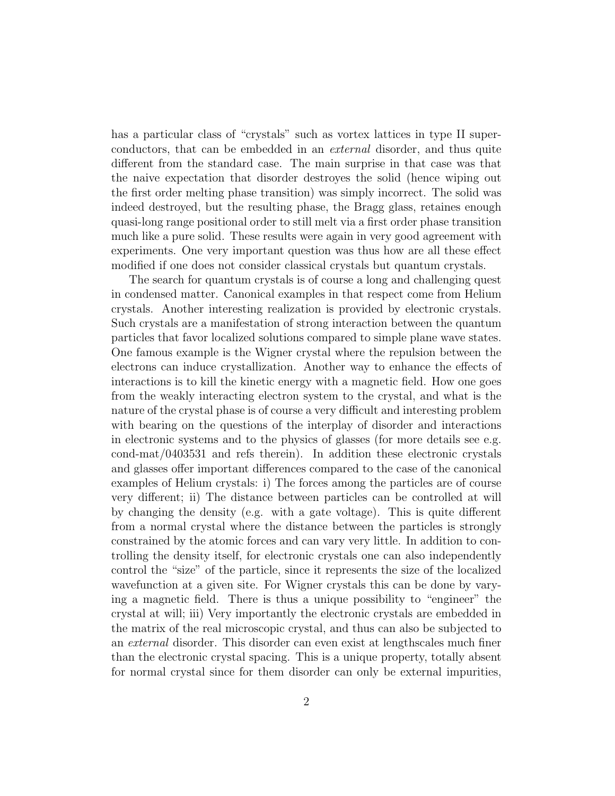has a particular class of "crystals" such as vortex lattices in type II superconductors, that can be embedded in an external disorder, and thus quite different from the standard case. The main surprise in that case was that the naive expectation that disorder destroyes the solid (hence wiping out the first order melting phase transition) was simply incorrect. The solid was indeed destroyed, but the resulting phase, the Bragg glass, retaines enough quasi-long range positional order to still melt via a first order phase transition much like a pure solid. These results were again in very good agreement with experiments. One very important question was thus how are all these effect modified if one does not consider classical crystals but quantum crystals.

The search for quantum crystals is of course a long and challenging quest in condensed matter. Canonical examples in that respect come from Helium crystals. Another interesting realization is provided by electronic crystals. Such crystals are a manifestation of strong interaction between the quantum particles that favor localized solutions compared to simple plane wave states. One famous example is the Wigner crystal where the repulsion between the electrons can induce crystallization. Another way to enhance the effects of interactions is to kill the kinetic energy with a magnetic field. How one goes from the weakly interacting electron system to the crystal, and what is the nature of the crystal phase is of course a very difficult and interesting problem with bearing on the questions of the interplay of disorder and interactions in electronic systems and to the physics of glasses (for more details see e.g. cond-mat/0403531 and refs therein). In addition these electronic crystals and glasses offer important differences compared to the case of the canonical examples of Helium crystals: i) The forces among the particles are of course very different; ii) The distance between particles can be controlled at will by changing the density (e.g. with a gate voltage). This is quite different from a normal crystal where the distance between the particles is strongly constrained by the atomic forces and can vary very little. In addition to controlling the density itself, for electronic crystals one can also independently control the "size" of the particle, since it represents the size of the localized wavefunction at a given site. For Wigner crystals this can be done by varying a magnetic field. There is thus a unique possibility to "engineer" the crystal at will; iii) Very importantly the electronic crystals are embedded in the matrix of the real microscopic crystal, and thus can also be subjected to an external disorder. This disorder can even exist at lengthscales much finer than the electronic crystal spacing. This is a unique property, totally absent for normal crystal since for them disorder can only be external impurities,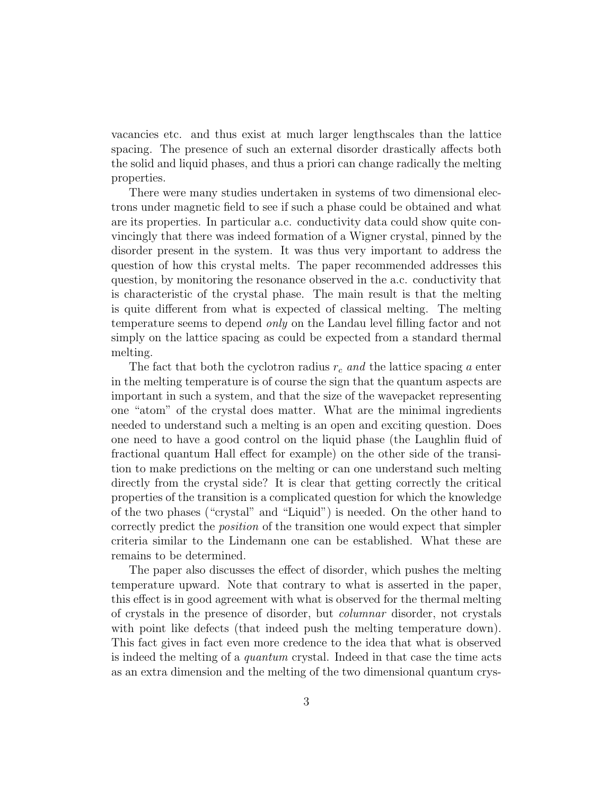vacancies etc. and thus exist at much larger lengthscales than the lattice spacing. The presence of such an external disorder drastically affects both the solid and liquid phases, and thus a priori can change radically the melting properties.

There were many studies undertaken in systems of two dimensional electrons under magnetic field to see if such a phase could be obtained and what are its properties. In particular a.c. conductivity data could show quite convincingly that there was indeed formation of a Wigner crystal, pinned by the disorder present in the system. It was thus very important to address the question of how this crystal melts. The paper recommended addresses this question, by monitoring the resonance observed in the a.c. conductivity that is characteristic of the crystal phase. The main result is that the melting is quite different from what is expected of classical melting. The melting temperature seems to depend only on the Landau level filling factor and not simply on the lattice spacing as could be expected from a standard thermal melting.

The fact that both the cyclotron radius  $r_c$  and the lattice spacing a enter in the melting temperature is of course the sign that the quantum aspects are important in such a system, and that the size of the wavepacket representing one "atom" of the crystal does matter. What are the minimal ingredients needed to understand such a melting is an open and exciting question. Does one need to have a good control on the liquid phase (the Laughlin fluid of fractional quantum Hall effect for example) on the other side of the transition to make predictions on the melting or can one understand such melting directly from the crystal side? It is clear that getting correctly the critical properties of the transition is a complicated question for which the knowledge of the two phases ("crystal" and "Liquid") is needed. On the other hand to correctly predict the position of the transition one would expect that simpler criteria similar to the Lindemann one can be established. What these are remains to be determined.

The paper also discusses the effect of disorder, which pushes the melting temperature upward. Note that contrary to what is asserted in the paper, this effect is in good agreement with what is observed for the thermal melting of crystals in the presence of disorder, but columnar disorder, not crystals with point like defects (that indeed push the melting temperature down). This fact gives in fact even more credence to the idea that what is observed is indeed the melting of a quantum crystal. Indeed in that case the time acts as an extra dimension and the melting of the two dimensional quantum crys-